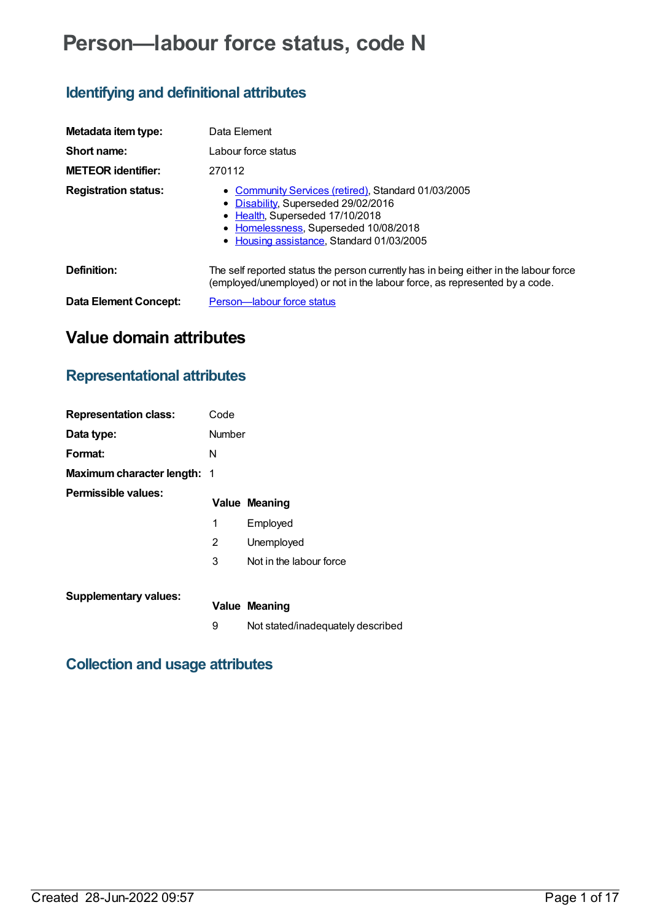# **Person—labour force status, code N**

# **Identifying and definitional attributes**

| Metadata item type:         | Data Element                                                                                                                                                                                                        |
|-----------------------------|---------------------------------------------------------------------------------------------------------------------------------------------------------------------------------------------------------------------|
| Short name:                 | Labour force status                                                                                                                                                                                                 |
| <b>METEOR identifier:</b>   | 270112                                                                                                                                                                                                              |
| <b>Registration status:</b> | • Community Services (retired), Standard 01/03/2005<br>• Disability, Superseded 29/02/2016<br>• Health, Superseded 17/10/2018<br>• Homelessness, Superseded 10/08/2018<br>• Housing assistance, Standard 01/03/2005 |
| Definition:                 | The self reported status the person currently has in being either in the labour force<br>(employed/unemployed) or not in the labour force, as represented by a code.                                                |
| Data Element Concept:       | Person-labour force status                                                                                                                                                                                          |

# **Value domain attributes**

# **Representational attributes**

| <b>Representation class:</b>       | Code   |                                   |
|------------------------------------|--------|-----------------------------------|
| Data type:                         | Number |                                   |
| Format:                            | N      |                                   |
| <b>Maximum character length: 1</b> |        |                                   |
| Permissible values:                |        | <b>Value Meaning</b>              |
|                                    | 1      | Employed                          |
|                                    | 2      | Unemployed                        |
|                                    | 3      | Not in the labour force           |
| <b>Supplementary values:</b>       |        | <b>Value Meaning</b>              |
|                                    | 9      | Not stated/inadequately described |

## **Collection and usage attributes**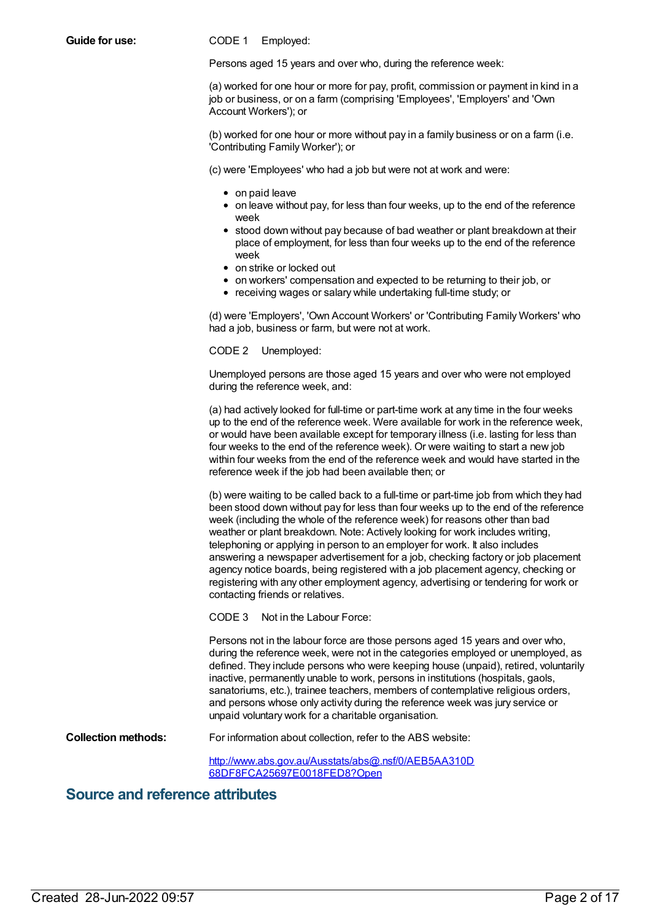**Guide for use:** CODE 1 Employed:

Persons aged 15 years and over who, during the reference week:

(a) worked for one hour or more for pay, profit, commission or payment in kind in a job or business, or on a farm (comprising 'Employees', 'Employers' and 'Own Account Workers'); or

(b) worked for one hour or more without pay in a family business or on a farm (i.e. 'Contributing Family Worker'); or

(c) were 'Employees' who had a job but were not at work and were:

- on paid leave
- $\bullet$  on leave without pay, for less than four weeks, up to the end of the reference week
- stood down without pay because of bad weather or plant breakdown at their place of employment, for less than four weeks up to the end of the reference week
- on strike or locked out
- on workers' compensation and expected to be returning to their job, or
- receiving wages or salary while undertaking full-time study; or

(d) were 'Employers', 'Own Account Workers' or 'Contributing Family Workers' who had a job, business or farm, but were not at work.

CODE 2 Unemployed:

Unemployed persons are those aged 15 years and over who were not employed during the reference week, and:

(a) had actively looked for full-time or part-time work at any time in the four weeks up to the end of the reference week. Were available for work in the reference week, or would have been available except for temporary illness (i.e. lasting for less than four weeks to the end of the reference week). Or were waiting to start a new job within four weeks from the end of the reference week and would have started in the reference week if the job had been available then; or

(b) were waiting to be called back to a full-time or part-time job from which they had been stood down without pay for less than four weeks up to the end of the reference week (including the whole of the reference week) for reasons other than bad weather or plant breakdown. Note: Actively looking for work includes writing, telephoning or applying in person to an employer for work. It also includes answering a newspaper advertisement for a job, checking factory or job placement agency notice boards, being registered with a job placement agency, checking or registering with any other employment agency, advertising or tendering for work or contacting friends or relatives.

CODE 3 Not in the Labour Force:

Persons not in the labour force are those persons aged 15 years and over who, during the reference week, were not in the categories employed or unemployed, as defined. They include persons who were keeping house (unpaid), retired, voluntarily inactive, permanently unable to work, persons in institutions (hospitals, gaols, sanatoriums, etc.), trainee teachers, members of contemplative religious orders, and persons whose only activity during the reference week was jury service or unpaid voluntary work for a charitable organisation.

**Collection methods:** For information about collection, refer to the ABS website:

[http://www.abs.gov.au/Ausstats/abs@.nsf/0/AEB5AA310D](http://www.abs.gov.au/Ausstats/abs@.nsf/0/AEB5AA310D68DF8FCA25697E0018FED8?Open) 68DF8FCA25697E0018FED8?Open

### **Source and reference attributes**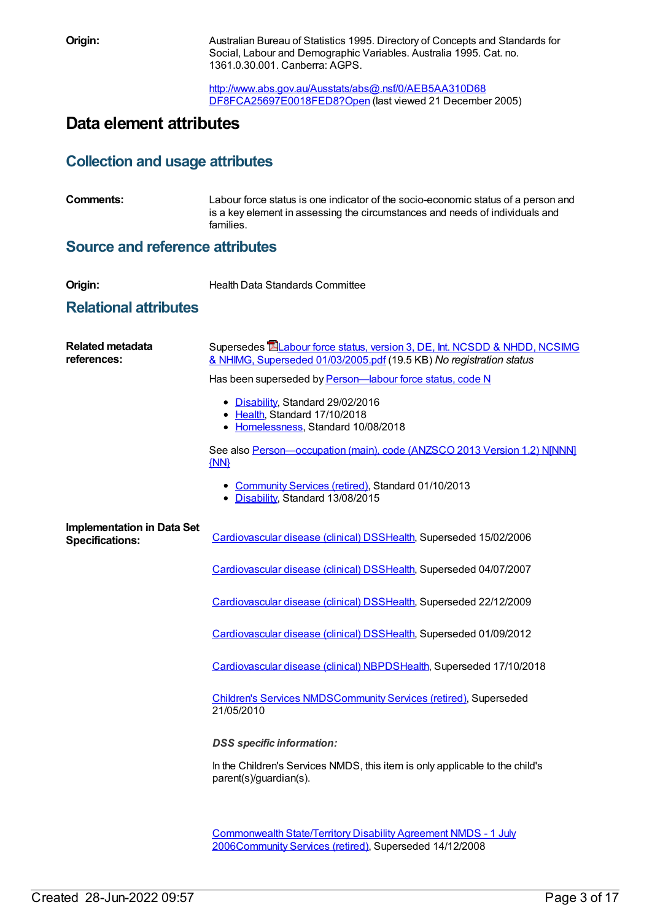**Origin:** Australian Bureau of Statistics 1995. Directory of Concepts and Standards for Social, Labour and Demographic Variables. Australia 1995. Cat. no. 1361.0.30.001. Canberra: AGPS.

> [http://www.abs.gov.au/Ausstats/abs@.nsf/0/AEB5AA310D68](http://www.abs.gov.au/Ausstats/abs@.nsf/0/AEB5AA310D68DF8FCA25697E0018FED8?Open) DF8FCA25697E0018FED8?Open (last viewed 21 December 2005)

# **Data element attributes**

### **Collection and usage attributes**

| <b>Comments:</b> | Labour force status is one indicator of the socio-economic status of a person and |
|------------------|-----------------------------------------------------------------------------------|
|                  | is a key element in assessing the circumstances and needs of individuals and      |
|                  | families.                                                                         |

### **Source and reference attributes**

### **Relational attributes**

| <b>Related metadata</b><br>references:                      | Supersedes <b>EL</b> abour force status, version 3, DE, Int. NCSDD & NHDD, NCSIMG<br>& NHIMG, Superseded 01/03/2005.pdf (19.5 KB) No registration status |
|-------------------------------------------------------------|----------------------------------------------------------------------------------------------------------------------------------------------------------|
|                                                             | Has been superseded by Person-labour force status, code N                                                                                                |
|                                                             | • Disability, Standard 29/02/2016<br>• Health, Standard 17/10/2018<br>• Homelessness, Standard 10/08/2018                                                |
|                                                             | See also Person-occupation (main), code (ANZSCO 2013 Version 1.2) NJNNN]<br>$\{NN\}$                                                                     |
|                                                             | • Community Services (retired), Standard 01/10/2013<br>• Disability, Standard 13/08/2015                                                                 |
| <b>Implementation in Data Set</b><br><b>Specifications:</b> | Cardiovascular disease (clinical) DSSHealth, Superseded 15/02/2006                                                                                       |
|                                                             | Cardiovascular disease (clinical) DSSHealth, Superseded 04/07/2007                                                                                       |
|                                                             | Cardiovascular disease (clinical) DSSHealth, Superseded 22/12/2009                                                                                       |
|                                                             | Cardiovascular disease (clinical) DSSHealth, Superseded 01/09/2012                                                                                       |
|                                                             | Cardiovascular disease (clinical) NBPDSHealth, Superseded 17/10/2018                                                                                     |
|                                                             | <b>Children's Services NMDSCommunity Services (retired), Superseded</b><br>21/05/2010                                                                    |
|                                                             | <b>DSS</b> specific information:                                                                                                                         |
|                                                             | In the Children's Services NMDS, this item is only applicable to the child's<br>parent(s)/guardian(s).                                                   |
|                                                             |                                                                                                                                                          |

[Commonwealth](https://meteor.aihw.gov.au/content/317350) State/Territory Disability Agreement NMDS - 1 July 200[6Community](https://meteor.aihw.gov.au/RegistrationAuthority/1) Services (retired), Superseded 14/12/2008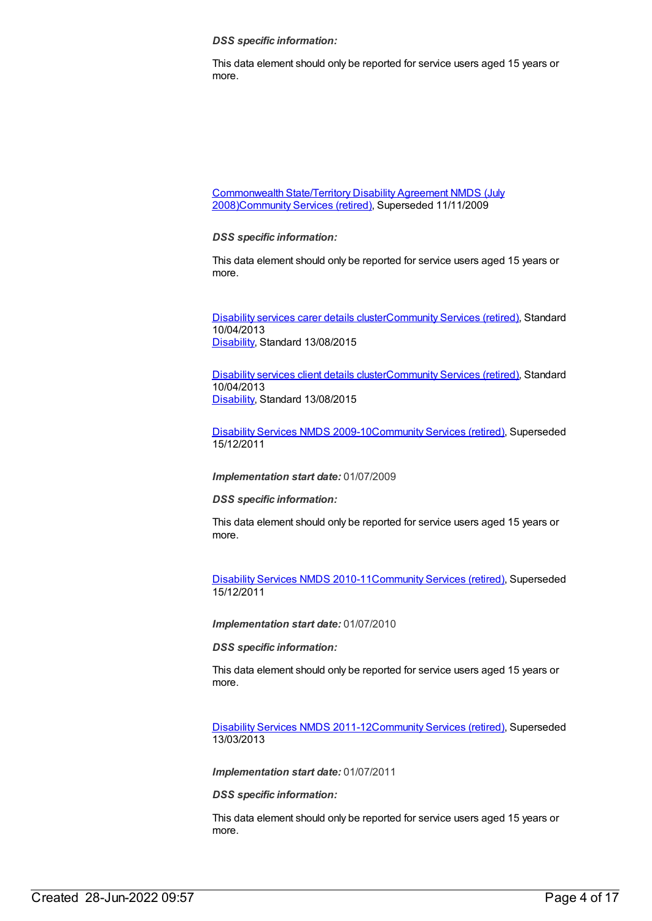*DSS specific information:*

This data element should only be reported for service users aged 15 years or more.

[Commonwealth](https://meteor.aihw.gov.au/content/372123) State/Territory Disability Agreement NMDS (July 2008[\)Community](https://meteor.aihw.gov.au/RegistrationAuthority/1) Services (retired), Superseded 11/11/2009

*DSS specific information:*

This data element should only be reported for service users aged 15 years or more.

[Disability](https://meteor.aihw.gov.au/content/484552) services carer details cluste[rCommunity](https://meteor.aihw.gov.au/RegistrationAuthority/1) Services (retired), Standard 10/04/2013 [Disability](https://meteor.aihw.gov.au/RegistrationAuthority/16), Standard 13/08/2015

[Disability](https://meteor.aihw.gov.au/content/484543) services client details cluste[rCommunity](https://meteor.aihw.gov.au/RegistrationAuthority/1) Services (retired), Standard 10/04/2013 [Disability](https://meteor.aihw.gov.au/RegistrationAuthority/16), Standard 13/08/2015

[Disability](https://meteor.aihw.gov.au/content/386485) Services NMDS 2009-10[Community](https://meteor.aihw.gov.au/RegistrationAuthority/1) Services (retired), Superseded 15/12/2011

*Implementation start date:* 01/07/2009

*DSS specific information:*

This data element should only be reported for service users aged 15 years or more.

[Disability](https://meteor.aihw.gov.au/content/428708) Services NMDS 2010-11[Community](https://meteor.aihw.gov.au/RegistrationAuthority/1) Services (retired), Superseded 15/12/2011

*Implementation start date:* 01/07/2010

*DSS specific information:*

This data element should only be reported for service users aged 15 years or more.

[Disability](https://meteor.aihw.gov.au/content/461636) Services NMDS 2011-12[Community](https://meteor.aihw.gov.au/RegistrationAuthority/1) Services (retired), Superseded 13/03/2013

*Implementation start date:* 01/07/2011

*DSS specific information:*

This data element should only be reported for service users aged 15 years or more.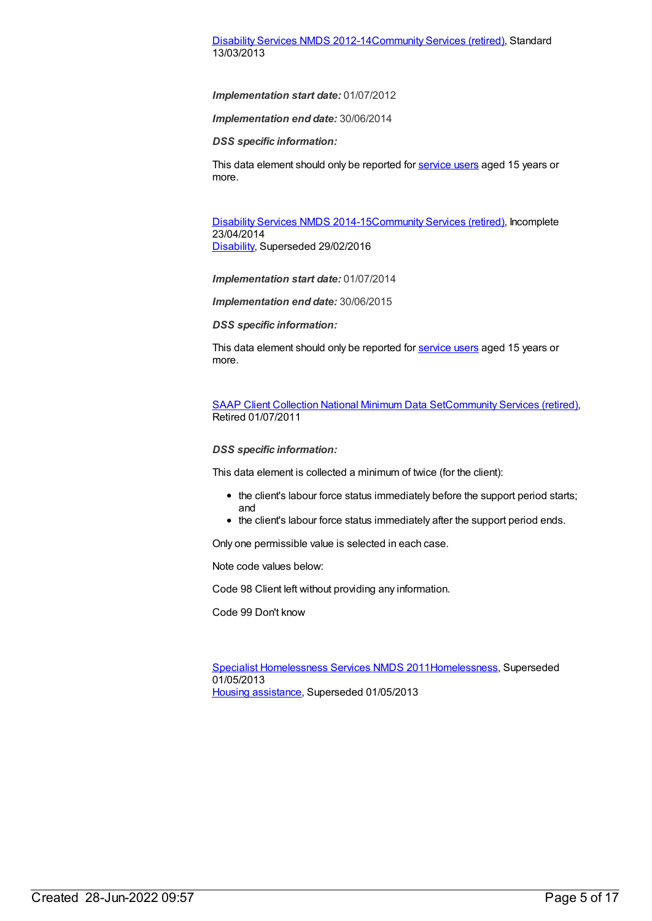#### [Disability](https://meteor.aihw.gov.au/content/461640) Services NMDS 2012-14[Community](https://meteor.aihw.gov.au/RegistrationAuthority/1) Services (retired), Standard 13/03/2013

*Implementation start date:* 01/07/2012

*Implementation end date:* 30/06/2014

*DSS specific information:*

This data element should only be reported for [service](file:///content/502689) users aged 15 years or more.

[Disability](https://meteor.aihw.gov.au/content/569749) Services NMDS 2014-15[Community](https://meteor.aihw.gov.au/RegistrationAuthority/1) Services (retired), Incomplete 23/04/2014 [Disability](https://meteor.aihw.gov.au/RegistrationAuthority/16), Superseded 29/02/2016

*Implementation start date:* 01/07/2014

*Implementation end date:* 30/06/2015

*DSS specific information:*

This data element should only be reported for [service](file:///content/502689) users aged 15 years or more.

SAAP Client [Collection](https://meteor.aihw.gov.au/content/339019) National Minimum Data Se[tCommunity](https://meteor.aihw.gov.au/RegistrationAuthority/1) Services (retired), Retired 01/07/2011

#### *DSS specific information:*

This data element is collected a minimum of twice (for the client):

- the client's labour force status immediately before the support period starts; and
- the client's labour force status immediately after the support period ends.

Only one permissible value is selected in each case.

Note code values below:

Code 98 Client left without providing any information.

Code 99 Don't know

Specialist [Homelessness](https://meteor.aihw.gov.au/content/398238) Services NMDS 201[1Homelessness](https://meteor.aihw.gov.au/RegistrationAuthority/14), Superseded 01/05/2013 Housing [assistance](https://meteor.aihw.gov.au/RegistrationAuthority/11), Superseded 01/05/2013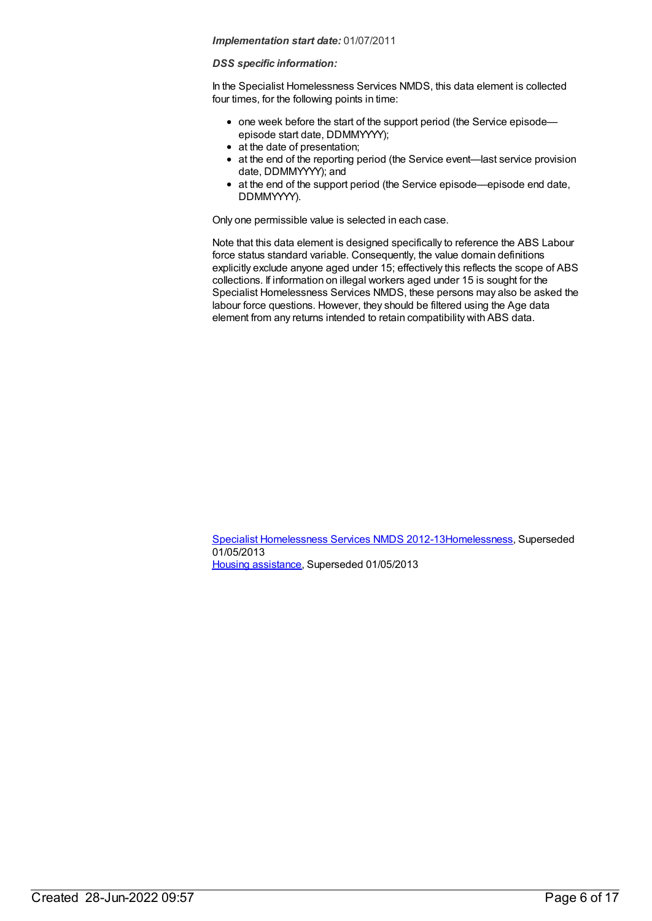#### *DSS specific information:*

In the Specialist Homelessness Services NMDS, this data element is collected four times, for the following points in time:

- one week before the start of the support period (the Service episodeepisode start date, DDMMYYYY);
- at the date of presentation;
- at the end of the reporting period (the Service event—last service provision date, DDMMYYYY); and
- at the end of the support period (the Service episode—episode end date, DDMMYYYY).

Only one permissible value is selected in each case.

Note that this data element is designed specifically to reference the ABS Labour force status standard variable. Consequently, the value domain definitions explicitly exclude anyone aged under 15; effectively this reflects the scope of ABS collections. If information on illegal workers aged under 15 is sought for the Specialist Homelessness Services NMDS, these persons may also be asked the labour force questions. However, they should be filtered using the Age data element from any returns intended to retain compatibility with ABS data.

Specialist [Homelessness](https://meteor.aihw.gov.au/content/508954) Services NMDS 2012-1[3Homelessness](https://meteor.aihw.gov.au/RegistrationAuthority/14), Superseded 01/05/2013 Housing [assistance](https://meteor.aihw.gov.au/RegistrationAuthority/11), Superseded 01/05/2013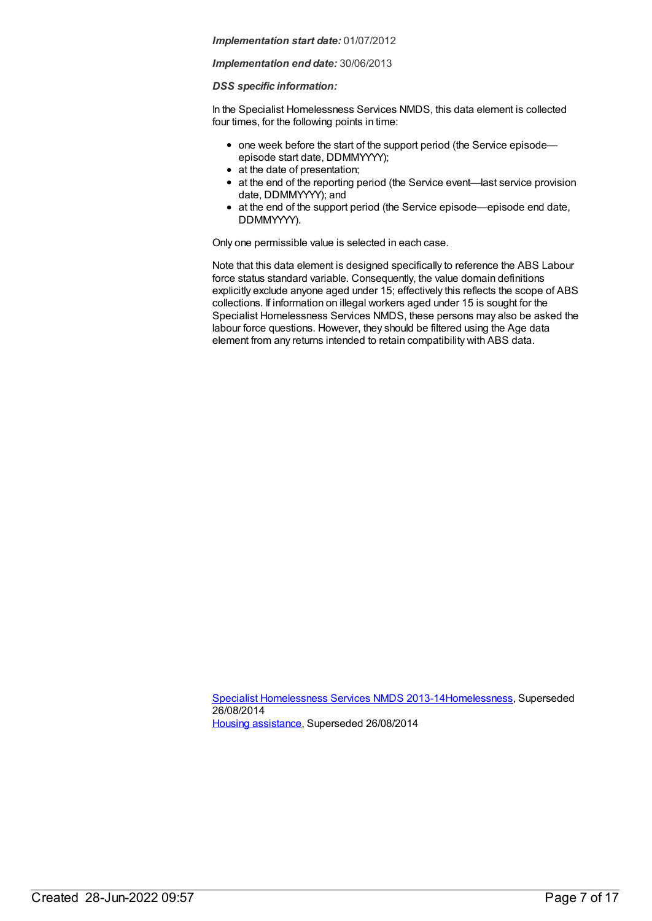#### *Implementation end date:* 30/06/2013

#### *DSS specific information:*

In the Specialist Homelessness Services NMDS, this data element is collected four times, for the following points in time:

- one week before the start of the support period (the Service episode episode start date, DDMMYYYY);
- at the date of presentation;
- at the end of the reporting period (the Service event—last service provision date, DDMMYYYY); and
- at the end of the support period (the Service episode—episode end date, DDMMYYYY).

Only one permissible value is selected in each case.

Note that this data element is designed specifically to reference the ABS Labour force status standard variable. Consequently, the value domain definitions explicitly exclude anyone aged under 15; effectively this reflects the scope of ABS collections. If information on illegal workers aged under 15 is sought for the Specialist Homelessness Services NMDS, these persons may also be asked the labour force questions. However, they should be filtered using the Age data element from any returns intended to retain compatibility with ABS data.

Specialist [Homelessness](https://meteor.aihw.gov.au/content/505626) Services NMDS 2013-1[4Homelessness](https://meteor.aihw.gov.au/RegistrationAuthority/14), Superseded 26/08/2014 Housing [assistance](https://meteor.aihw.gov.au/RegistrationAuthority/11), Superseded 26/08/2014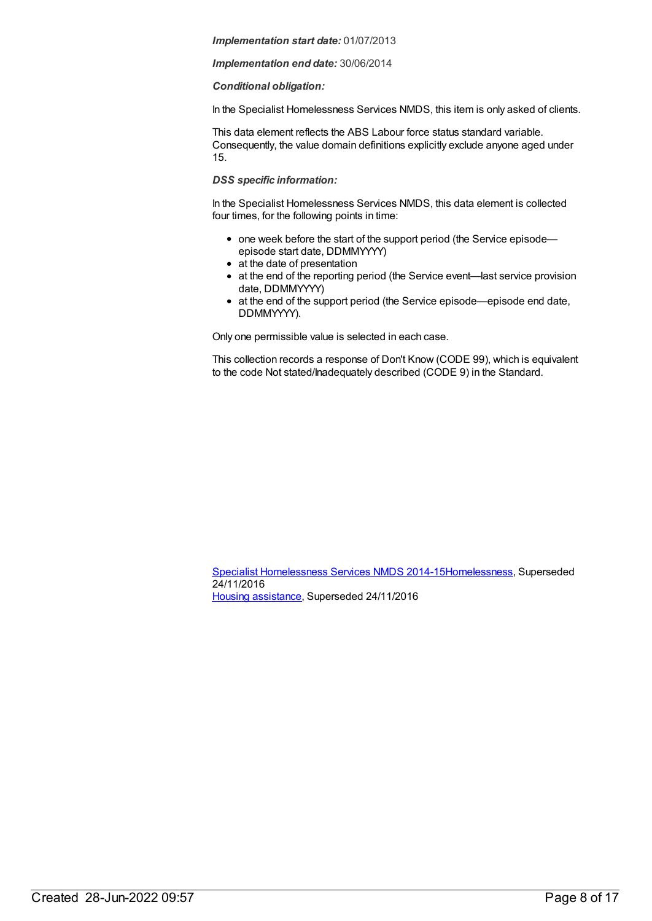#### *Implementation end date:* 30/06/2014

#### *Conditional obligation:*

In the Specialist Homelessness Services NMDS, this item is only asked of clients.

This data element reflects the ABS Labour force status standard variable. Consequently, the value domain definitions explicitly exclude anyone aged under 15.

#### *DSS specific information:*

In the Specialist Homelessness Services NMDS, this data element is collected four times, for the following points in time:

- one week before the start of the support period (the Service episodeepisode start date, DDMMYYYY)
- at the date of presentation
- at the end of the reporting period (the Service event—last service provision date, DDMMYYYY)
- at the end of the support period (the Service episode—episode end date, DDMMYYYY).

Only one permissible value is selected in each case.

This collection records a response of Don't Know (CODE 99), which is equivalent to the code Not stated/Inadequately described (CODE 9) in the Standard.

Specialist [Homelessness](https://meteor.aihw.gov.au/content/581255) Services NMDS 2014-1[5Homelessness](https://meteor.aihw.gov.au/RegistrationAuthority/14), Superseded 24/11/2016 Housing [assistance](https://meteor.aihw.gov.au/RegistrationAuthority/11), Superseded 24/11/2016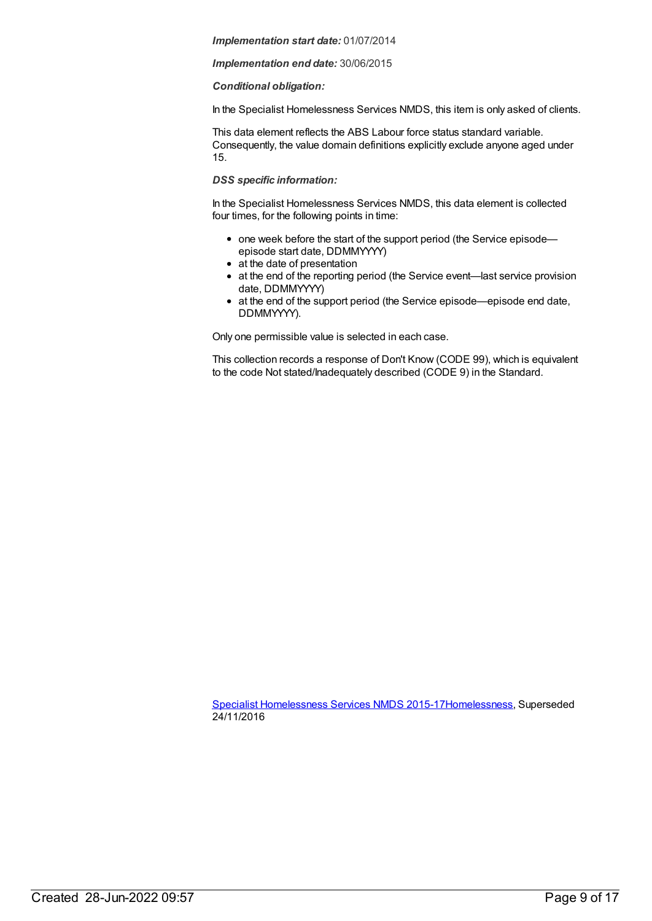#### *Implementation end date:* 30/06/2015

#### *Conditional obligation:*

In the Specialist Homelessness Services NMDS, this item is only asked of clients.

This data element reflects the ABS Labour force status standard variable. Consequently, the value domain definitions explicitly exclude anyone aged under 15.

#### *DSS specific information:*

In the Specialist Homelessness Services NMDS, this data element is collected four times, for the following points in time:

- one week before the start of the support period (the Service episodeepisode start date, DDMMYYYY)
- at the date of presentation
- at the end of the reporting period (the Service event—last service provision date, DDMMYYYY)
- at the end of the support period (the Service episode—episode end date, DDMMYYYY).

Only one permissible value is selected in each case.

This collection records a response of Don't Know (CODE 99), which is equivalent to the code Not stated/Inadequately described (CODE 9) in the Standard.

Specialist [Homelessness](https://meteor.aihw.gov.au/content/658005) Services NMDS 2015-1[7Homelessness](https://meteor.aihw.gov.au/RegistrationAuthority/14), Superseded 24/11/2016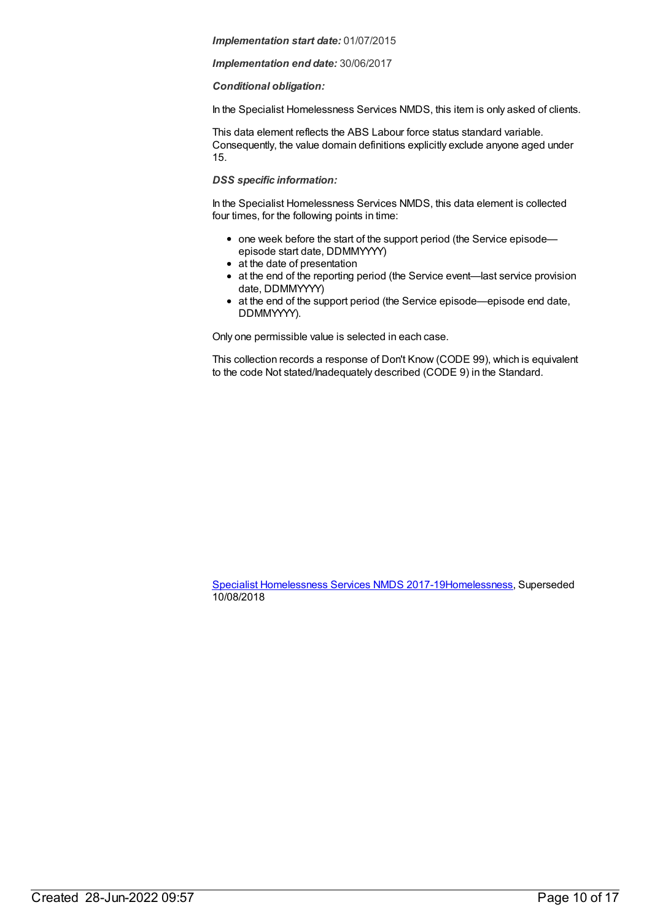#### *Implementation end date:* 30/06/2017

#### *Conditional obligation:*

In the Specialist Homelessness Services NMDS, this item is only asked of clients.

This data element reflects the ABS Labour force status standard variable. Consequently, the value domain definitions explicitly exclude anyone aged under 15.

#### *DSS specific information:*

In the Specialist Homelessness Services NMDS, this data element is collected four times, for the following points in time:

- one week before the start of the support period (the Service episodeepisode start date, DDMMYYYY)
- at the date of presentation
- at the end of the reporting period (the Service event—last service provision date, DDMMYYYY)
- at the end of the support period (the Service episode—episode end date, DDMMYYYY).

Only one permissible value is selected in each case.

This collection records a response of Don't Know (CODE 99), which is equivalent to the code Not stated/Inadequately described (CODE 9) in the Standard.

Specialist [Homelessness](https://meteor.aihw.gov.au/content/650006) Services NMDS 2017-1[9Homelessness](https://meteor.aihw.gov.au/RegistrationAuthority/14), Superseded 10/08/2018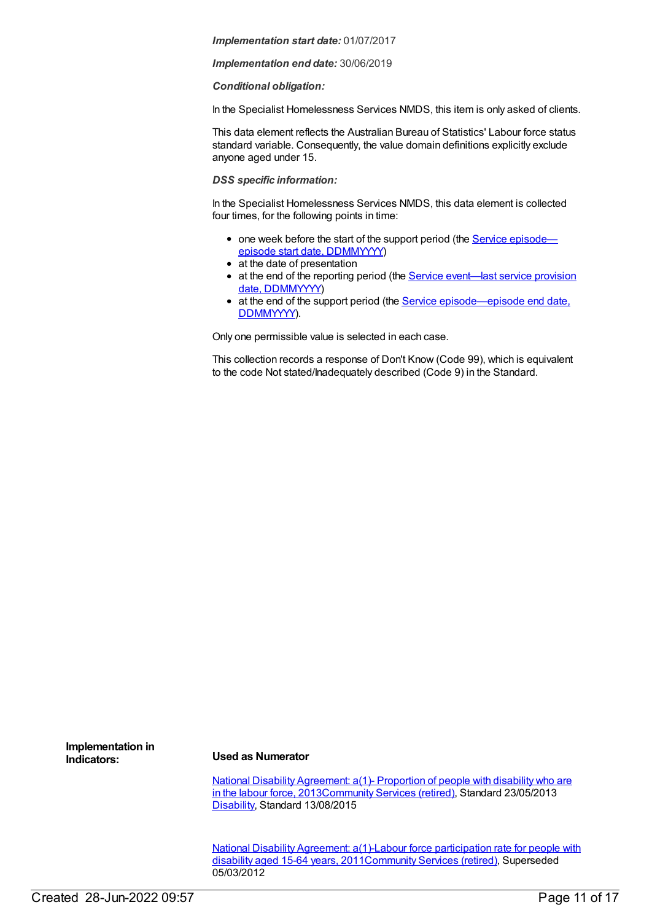*Implementation end date:* 30/06/2019

#### *Conditional obligation:*

In the Specialist Homelessness Services NMDS, this item is only asked of clients.

This data element reflects the Australian Bureau of Statistics' Labour force status standard variable. Consequently, the value domain definitions explicitly exclude anyone aged under 15.

#### *DSS specific information:*

In the Specialist Homelessness Services NMDS, this data element is collected four times, for the following points in time:

- one week before the start of the support period (the Service episode episode start date, [DDMMYYYY\)](file:///content/338558)
- at the date of presentation
- at the end of the reporting period (the Service [event—last](file:///content/323253) service provision date, DDMMYYYY)
- at the end of the support period (the Service [episode—episode](file:///content/270160) end date, DDMMYYYY).

Only one permissible value is selected in each case.

This collection records a response of Don't Know (Code 99), which is equivalent to the code Not stated/Inadequately described (Code 9) in the Standard.

**Implementation in**

#### **Indicators: Used as Numerator**

National Disability Agreement: a(1)- Proportion of people with disability who are in the labour force, [2013](https://meteor.aihw.gov.au/content/491923)[Community](https://meteor.aihw.gov.au/RegistrationAuthority/1) Services (retired), Standard 23/05/2013 [Disability](https://meteor.aihw.gov.au/RegistrationAuthority/16), Standard 13/08/2015

National Disability Agreement: a(1)-Labour force participation rate for people with disability aged 15-64 years, [2011Community](https://meteor.aihw.gov.au/content/428727) Services (retired), Superseded 05/03/2012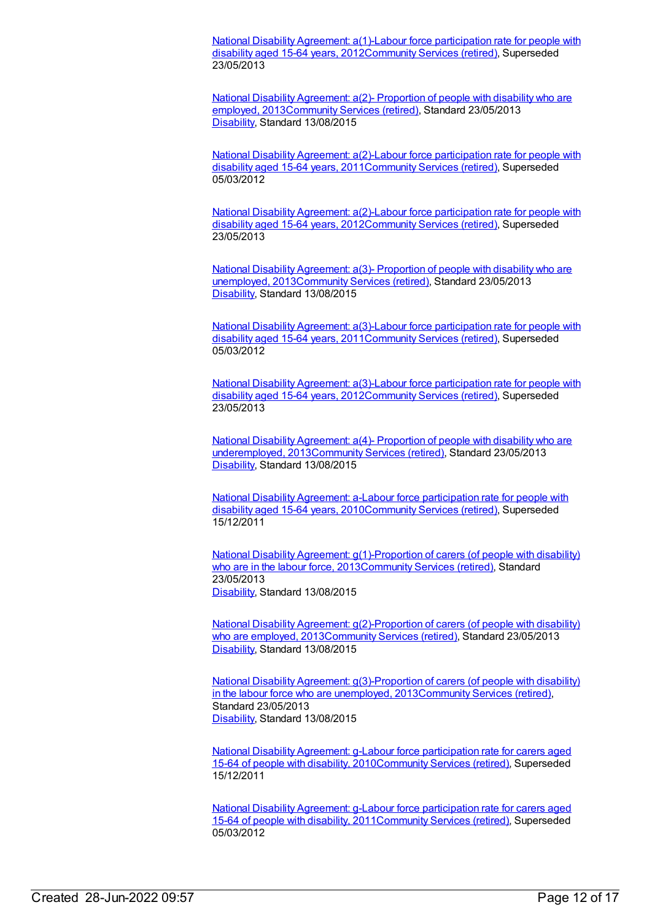National Disability Agreement: a(1)-Labour force participation rate for people with disability aged 15-64 years, [2012Community](https://meteor.aihw.gov.au/content/467773) Services (retired), Superseded 23/05/2013

National Disability Agreement: a(2)- Proportion of people with disability who are employed, [2013Community](https://meteor.aihw.gov.au/content/491925) Services (retired), Standard 23/05/2013 [Disability](https://meteor.aihw.gov.au/RegistrationAuthority/16), Standard 13/08/2015

National Disability Agreement: a(2)-Labour force participation rate for people with disability aged 15-64 years, [2011Community](https://meteor.aihw.gov.au/content/446235) Services (retired), Superseded 05/03/2012

National Disability Agreement: a(2)-Labour force participation rate for people with disability aged 15-64 years, [2012](https://meteor.aihw.gov.au/content/467827)[Community](https://meteor.aihw.gov.au/RegistrationAuthority/1) Services (retired), Superseded 23/05/2013

National Disability Agreement: a(3)- Proportion of people with disability who are unemployed, [2013Community](https://meteor.aihw.gov.au/content/491927) Services (retired), Standard 23/05/2013 [Disability](https://meteor.aihw.gov.au/RegistrationAuthority/16), Standard 13/08/2015

National Disability Agreement: a(3)-Labour force participation rate for people with disability aged 15-64 years, [2011Community](https://meteor.aihw.gov.au/content/446244) Services (retired), Superseded 05/03/2012

National Disability Agreement: a(3)-Labour force participation rate for people with disability aged 15-64 years, [2012Community](https://meteor.aihw.gov.au/content/467831) Services (retired), Superseded 23/05/2013

National Disability Agreement: a(4)- Proportion of people with disability who are underemployed, [2013Community](https://meteor.aihw.gov.au/content/514824) Services (retired), Standard 23/05/2013 [Disability](https://meteor.aihw.gov.au/RegistrationAuthority/16), Standard 13/08/2015

National Disability Agreement: a-Labour force participation rate for people with disability aged 15-64 years, [2010](https://meteor.aihw.gov.au/content/393816)[Community](https://meteor.aihw.gov.au/RegistrationAuthority/1) Services (retired), Superseded 15/12/2011

National Disability Agreement: [g\(1\)-Proportion](https://meteor.aihw.gov.au/content/491953) of carers (of people with disability) who are in the labour force, 201[3Community](https://meteor.aihw.gov.au/RegistrationAuthority/1) Services (retired), Standard 23/05/2013 [Disability](https://meteor.aihw.gov.au/RegistrationAuthority/16), Standard 13/08/2015

National Disability Agreement: [g\(2\)-Proportion](https://meteor.aihw.gov.au/content/519096) of carers (of people with disability) who are employed, 201[3Community](https://meteor.aihw.gov.au/RegistrationAuthority/1) Services (retired), Standard 23/05/2013 [Disability](https://meteor.aihw.gov.au/RegistrationAuthority/16), Standard 13/08/2015

National Disability Agreement: [g\(3\)-Proportion](https://meteor.aihw.gov.au/content/519098) of carers (of people with disability) in the labour force who are unemployed, 201[3Community](https://meteor.aihw.gov.au/RegistrationAuthority/1) Services (retired), Standard 23/05/2013 [Disability](https://meteor.aihw.gov.au/RegistrationAuthority/16), Standard 13/08/2015

National Disability Agreement: g-Labour force participation rate for carers aged 15-64 of people with disability, [2010](https://meteor.aihw.gov.au/content/394006)[Community](https://meteor.aihw.gov.au/RegistrationAuthority/1) Services (retired), Superseded 15/12/2011

National Disability Agreement: g-Labour force participation rate for carers aged 15-64 of people with disability, [2011Community](https://meteor.aihw.gov.au/content/428755) Services (retired), Superseded 05/03/2012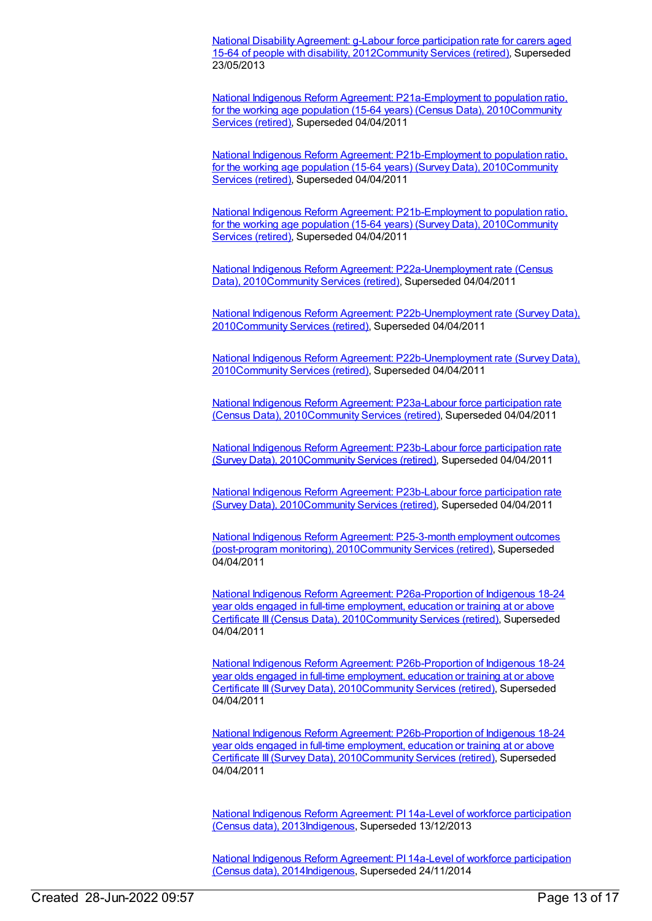National Disability Agreement: g-Labour force participation rate for carers aged 15-64 of people with disability, [2012Community](https://meteor.aihw.gov.au/content/467948) Services (retired), Superseded 23/05/2013

National Indigenous Reform Agreement: [P21a-Employment](https://meteor.aihw.gov.au/content/396621) to population ratio, for the working age population (15-64 years) (Census Data), [2010Community](https://meteor.aihw.gov.au/RegistrationAuthority/1) Services (retired), Superseded 04/04/2011

National Indigenous Reform Agreement: [P21b-Employment](https://meteor.aihw.gov.au/content/396902) to population ratio, for the working age population (15-64 years) (Survey Data), [2010Community](https://meteor.aihw.gov.au/RegistrationAuthority/1) Services (retired), Superseded 04/04/2011

National Indigenous Reform Agreement: [P21b-Employment](https://meteor.aihw.gov.au/content/396902) to population ratio, for the working age population (15-64 years) (Survey Data), [2010Community](https://meteor.aihw.gov.au/RegistrationAuthority/1) Services (retired), Superseded 04/04/2011

National Indigenous Reform Agreement: [P22a-Unemployment](https://meteor.aihw.gov.au/content/396630) rate (Census Data), 2010[Community](https://meteor.aihw.gov.au/RegistrationAuthority/1) Services (retired), Superseded 04/04/2011

National Indigenous Reform Agreement: [P22b-Unemployment](https://meteor.aihw.gov.au/content/396905) rate (Survey Data), 201[0Community](https://meteor.aihw.gov.au/RegistrationAuthority/1) Services (retired), Superseded 04/04/2011

National Indigenous Reform Agreement: [P22b-Unemployment](https://meteor.aihw.gov.au/content/396905) rate (Survey Data), 201[0Community](https://meteor.aihw.gov.au/RegistrationAuthority/1) Services (retired), Superseded 04/04/2011

National Indigenous Reform Agreement: P23a-Labour force participation rate (Census Data), [2010Community](https://meteor.aihw.gov.au/content/396632) Services (retired), Superseded 04/04/2011

National Indigenous Reform Agreement: P23b-Labour force participation rate (Survey Data), [2010Community](https://meteor.aihw.gov.au/content/396912) Services (retired), Superseded 04/04/2011

National Indigenous Reform Agreement: P23b-Labour force participation rate (Survey Data), [2010Community](https://meteor.aihw.gov.au/content/396912) Services (retired), Superseded 04/04/2011

National Indigenous Reform Agreement: P25-3-month employment outcomes (post-program monitoring), [2010](https://meteor.aihw.gov.au/content/396640)[Community](https://meteor.aihw.gov.au/RegistrationAuthority/1) Services (retired), Superseded 04/04/2011

National Indigenous Reform Agreement: [P26a-Proportion](https://meteor.aihw.gov.au/content/396647) of Indigenous 18-24 year olds engaged in full-time employment, education or training at or above Certificate III (Census Data), 201[0Community](https://meteor.aihw.gov.au/RegistrationAuthority/1) Services (retired), Superseded 04/04/2011

National Indigenous Reform Agreement: [P26b-Proportion](https://meteor.aihw.gov.au/content/396915) of Indigenous 18-24 year olds engaged in full-time employment, education or training at or above Certificate III (Survey Data), 2010[Community](https://meteor.aihw.gov.au/RegistrationAuthority/1) Services (retired), Superseded 04/04/2011

National Indigenous Reform Agreement: [P26b-Proportion](https://meteor.aihw.gov.au/content/396915) of Indigenous 18-24 year olds engaged in full-time employment, education or training at or above Certificate III (Survey Data), 2010[Community](https://meteor.aihw.gov.au/RegistrationAuthority/1) Services (retired), Superseded 04/04/2011

National Indigenous Reform Agreement: PI 14a-Level of workforce participation (Census data), [2013Indigenous,](https://meteor.aihw.gov.au/content/484369) Superseded 13/12/2013

National Indigenous Reform Agreement: PI 14a-Level of workforce participation (Census data), [2014Indigenous,](https://meteor.aihw.gov.au/content/525776) Superseded 24/11/2014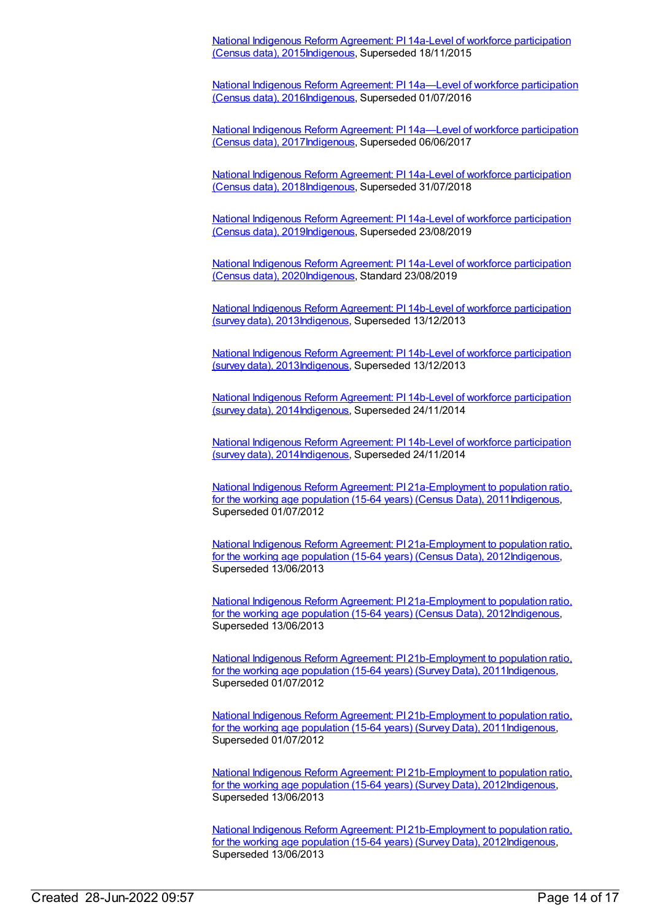National Indigenous Reform Agreement: PI 14a-Level of workforce participation (Census data), [2015Indigenous,](https://meteor.aihw.gov.au/content/579104) Superseded 18/11/2015

National Indigenous Reform Agreement: PI 14a—Level of workforce participation (Census data), [2016Indigenous,](https://meteor.aihw.gov.au/content/611201) Superseded 01/07/2016

National Indigenous Reform Agreement: PI 14a—Level of workforce participation (Census data), [2017](https://meteor.aihw.gov.au/content/645412)[Indigenous](https://meteor.aihw.gov.au/RegistrationAuthority/6)[,](https://meteor.aihw.gov.au/content/645412) Superseded 06/06/2017

National Indigenous Reform Agreement: PI 14a-Level of workforce participation (Census data), [2018Indigenous,](https://meteor.aihw.gov.au/content/668662) Superseded 31/07/2018

National Indigenous Reform Agreement: PI 14a-Level of workforce participation (Census data), [2019Indigenous,](https://meteor.aihw.gov.au/content/699471) Superseded 23/08/2019

National Indigenous Reform Agreement: PI 14a-Level of workforce participation (Census data), [2020Indigenous,](https://meteor.aihw.gov.au/content/718500) Standard 23/08/2019

National Indigenous Reform Agreement: PI 14b-Level of workforce participation (survey data), [2013Indigenous,](https://meteor.aihw.gov.au/content/484372) Superseded 13/12/2013

National Indigenous Reform Agreement: PI 14b-Level of workforce participation (survey data), [2013](https://meteor.aihw.gov.au/content/484372)[Indigenous](https://meteor.aihw.gov.au/RegistrationAuthority/6)[,](https://meteor.aihw.gov.au/content/484372) Superseded 13/12/2013

National Indigenous Reform Agreement: PI 14b-Level of workforce participation (survey data), [2014Indigenous,](https://meteor.aihw.gov.au/content/525761) Superseded 24/11/2014

National Indigenous Reform Agreement: PI 14b-Level of workforce participation (survey data), [2014Indigenous,](https://meteor.aihw.gov.au/content/525761) Superseded 24/11/2014

National Indigenous Reform Agreement: PI [21a-Employment](https://meteor.aihw.gov.au/content/425793) to population ratio, for the working age population (15-64 years) (Census Data), 2011 Indigenous, Superseded 01/07/2012

National Indigenous Reform Agreement: PI [21a-Employment](https://meteor.aihw.gov.au/content/438695) to population ratio, for the working age population (15-64 years) (Census Data), 201[2Indigenous,](https://meteor.aihw.gov.au/RegistrationAuthority/6) Superseded 13/06/2013

National Indigenous Reform Agreement: PI [21a-Employment](https://meteor.aihw.gov.au/content/438695) to population ratio, for the working age population (15-64 years) (Census Data), 201[2Indigenous,](https://meteor.aihw.gov.au/RegistrationAuthority/6) Superseded 13/06/2013

National Indigenous Reform Agreement: PI [21b-Employment](https://meteor.aihw.gov.au/content/425795) to population ratio, for the working age population (15-64 years) (Survey Data), 2011[Indigenous](https://meteor.aihw.gov.au/RegistrationAuthority/6), Superseded 01/07/2012

National Indigenous Reform Agreement: PI [21b-Employment](https://meteor.aihw.gov.au/content/425795) to population ratio, for the working age population (15-64 years) (Survey Data), 2011[Indigenous](https://meteor.aihw.gov.au/RegistrationAuthority/6), Superseded 01/07/2012

National Indigenous Reform Agreement: PI [21b-Employment](https://meteor.aihw.gov.au/content/438700) to population ratio, for the working age population (15-64 years) (Survey Data), 2012[Indigenous](https://meteor.aihw.gov.au/RegistrationAuthority/6), Superseded 13/06/2013

National Indigenous Reform Agreement: PI [21b-Employment](https://meteor.aihw.gov.au/content/438700) to population ratio, for the working age population (15-64 years) (Survey Data), 2012[Indigenous](https://meteor.aihw.gov.au/RegistrationAuthority/6), Superseded 13/06/2013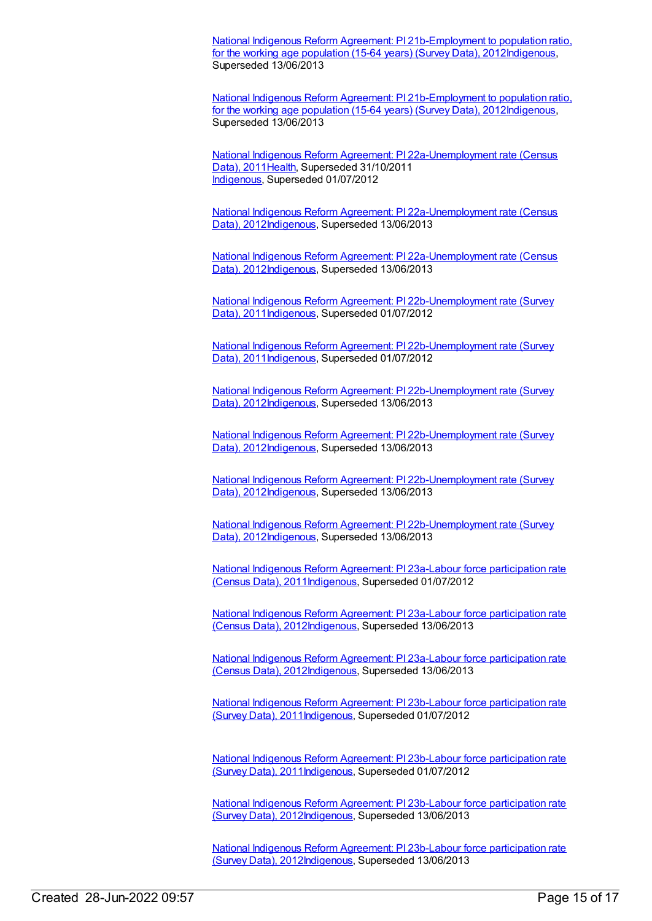National Indigenous Reform Agreement: PI [21b-Employment](https://meteor.aihw.gov.au/content/438700) to population ratio, for the working age population (15-64 years) (Survey Data), 2012[Indigenous](https://meteor.aihw.gov.au/RegistrationAuthority/6), Superseded 13/06/2013

National Indigenous Reform Agreement: PI [21b-Employment](https://meteor.aihw.gov.au/content/438700) to population ratio, for the working age population (15-64 years) (Survey Data), 2012[Indigenous](https://meteor.aihw.gov.au/RegistrationAuthority/6), Superseded 13/06/2013

National Indigenous Reform Agreement: PI [22a-Unemployment](https://meteor.aihw.gov.au/content/425797) rate (Census Data), 2011[Health](https://meteor.aihw.gov.au/RegistrationAuthority/12), Superseded 31/10/2011 [Indigenous](https://meteor.aihw.gov.au/RegistrationAuthority/6), Superseded 01/07/2012

National Indigenous Reform Agreement: PI [22a-Unemployment](https://meteor.aihw.gov.au/content/438703) rate (Census Data), 2012[Indigenous,](https://meteor.aihw.gov.au/RegistrationAuthority/6) Superseded 13/06/2013

National Indigenous Reform Agreement: PI [22a-Unemployment](https://meteor.aihw.gov.au/content/438703) rate (Census Data), 2012[Indigenous,](https://meteor.aihw.gov.au/RegistrationAuthority/6) Superseded 13/06/2013

National Indigenous Reform Agreement: PI [22b-Unemployment](https://meteor.aihw.gov.au/content/425799) rate (Survey Data), 2011 [Indigenous,](https://meteor.aihw.gov.au/RegistrationAuthority/6) Superseded 01/07/2012

National Indigenous Reform Agreement: PI [22b-Unemployment](https://meteor.aihw.gov.au/content/425799) rate (Survey Data), 2011[Indigenous,](https://meteor.aihw.gov.au/RegistrationAuthority/6) Superseded 01/07/2012

National Indigenous Reform Agreement: PI [22b-Unemployment](https://meteor.aihw.gov.au/content/438709) rate (Survey Data), 2012[Indigenous,](https://meteor.aihw.gov.au/RegistrationAuthority/6) Superseded 13/06/2013

National Indigenous Reform Agreement: PI [22b-Unemployment](https://meteor.aihw.gov.au/content/438709) rate (Survey Data), 2012[Indigenous,](https://meteor.aihw.gov.au/RegistrationAuthority/6) Superseded 13/06/2013

National Indigenous Reform Agreement: PI [22b-Unemployment](https://meteor.aihw.gov.au/content/438709) rate (Survey Data), 2012[Indigenous,](https://meteor.aihw.gov.au/RegistrationAuthority/6) Superseded 13/06/2013

National Indigenous Reform Agreement: PI [22b-Unemployment](https://meteor.aihw.gov.au/content/438709) rate (Survey Data), 2012[Indigenous,](https://meteor.aihw.gov.au/RegistrationAuthority/6) Superseded 13/06/2013

National Indigenous Reform Agreement: PI 23a-Labour force participation rate (Census Data), [2011Indigenous,](https://meteor.aihw.gov.au/content/425801) Superseded 01/07/2012

National Indigenous Reform Agreement: PI 23a-Labour force participation rate (Census Data), [2012Indigenous,](https://meteor.aihw.gov.au/content/438716) Superseded 13/06/2013

National Indigenous Reform Agreement: PI 23a-Labour force participation rate (Census Data), [2012Indigenous,](https://meteor.aihw.gov.au/content/438716) Superseded 13/06/2013

National Indigenous Reform Agreement: PI 23b-Labour force participation rate (Survey Data), [2011Indigenous,](https://meteor.aihw.gov.au/content/425803) Superseded 01/07/2012

National Indigenous Reform Agreement: PI 23b-Labour force participation rate (Survey Data), [2011Indigenous,](https://meteor.aihw.gov.au/content/425803) Superseded 01/07/2012

National Indigenous Reform Agreement: PI 23b-Labour force participation rate (Survey Data), [2012I](https://meteor.aihw.gov.au/content/438718)[ndigenou](https://meteor.aihw.gov.au/RegistrationAuthority/6)[s,](https://meteor.aihw.gov.au/content/438718) Superseded 13/06/2013

National Indigenous Reform Agreement: PI 23b-Labour force participation rate (Survey Data), [2012Indigenous,](https://meteor.aihw.gov.au/content/438718) Superseded 13/06/2013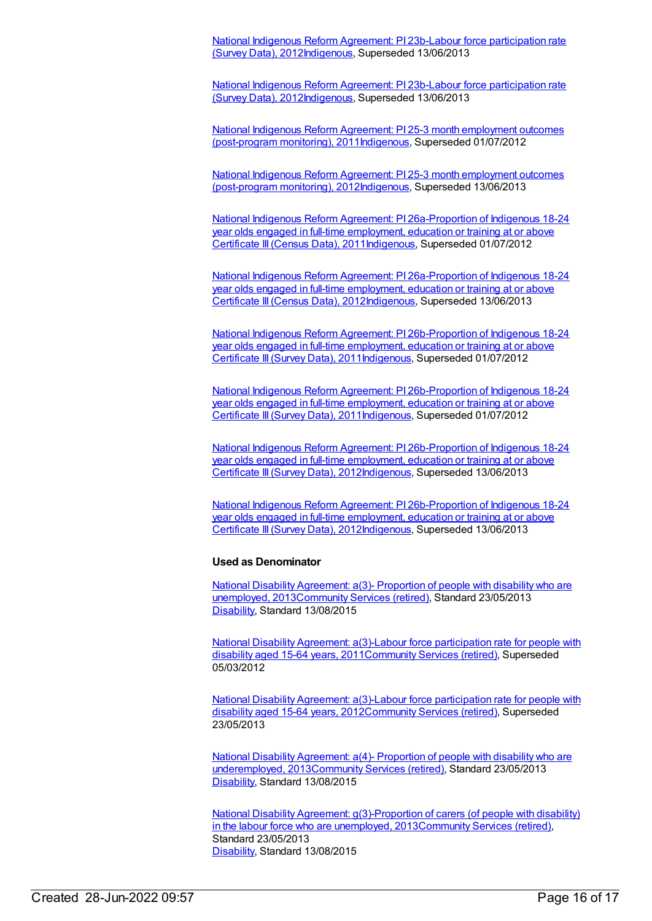National Indigenous Reform Agreement: PI 23b-Labour force participation rate (Survey Data), [2012Indigenous,](https://meteor.aihw.gov.au/content/438718) Superseded 13/06/2013

National Indigenous Reform Agreement: PI 23b-Labour force participation rate (Survey Data), [2012Indigenous,](https://meteor.aihw.gov.au/content/438718) Superseded 13/06/2013

National Indigenous Reform Agreement: PI 25-3 month employment outcomes (post-program monitoring), [2011](https://meteor.aihw.gov.au/content/425807)[Indigenous](https://meteor.aihw.gov.au/RegistrationAuthority/6)[,](https://meteor.aihw.gov.au/content/425807) Superseded 01/07/2012

National Indigenous Reform Agreement: PI 25-3 month employment outcomes (post-program monitoring), [2012Indigenous,](https://meteor.aihw.gov.au/content/438731) Superseded 13/06/2013

National Indigenous Reform Agreement: PI [26a-Proportion](https://meteor.aihw.gov.au/content/425809) of Indigenous 18-24 year olds engaged in full-time employment, education or training at or above Certificate III(Census Data), 201[1Indigenous,](https://meteor.aihw.gov.au/RegistrationAuthority/6) Superseded 01/07/2012

National Indigenous Reform Agreement: PI [26a-Proportion](https://meteor.aihw.gov.au/content/438735) of Indigenous 18-24 year olds engaged in full-time employment, education or training at or above Certificate III (Census Data), 201[2Indigenous,](https://meteor.aihw.gov.au/RegistrationAuthority/6) Superseded 13/06/2013

National Indigenous Reform Agreement: PI [26b-Proportion](https://meteor.aihw.gov.au/content/425811) of Indigenous 18-24 year olds engaged in full-time employment, education or training at or above Certificate III(Survey Data), 2011[Indigenous,](https://meteor.aihw.gov.au/RegistrationAuthority/6) Superseded 01/07/2012

National Indigenous Reform Agreement: PI [26b-Proportion](https://meteor.aihw.gov.au/content/425811) of Indigenous 18-24 year olds engaged in full-time employment, education or training at or above Certificate III(Survey Data), 2011[Indigenous,](https://meteor.aihw.gov.au/RegistrationAuthority/6) Superseded 01/07/2012

National Indigenous Reform Agreement: PI [26b-Proportion](https://meteor.aihw.gov.au/content/438740) of Indigenous 18-24 year olds engaged in full-time employment, education or training at or above Certificate III (Survey Data), 2012[Indigenous,](https://meteor.aihw.gov.au/RegistrationAuthority/6) Superseded 13/06/2013

National Indigenous Reform Agreement: PI [26b-Proportion](https://meteor.aihw.gov.au/content/438740) of Indigenous 18-24 year olds engaged in full-time employment, education or training at or above Certificate III(Survey Data), 2012[Indigenous,](https://meteor.aihw.gov.au/RegistrationAuthority/6) Superseded 13/06/2013

#### **Used as Denominator**

National Disability Agreement: a(3)- Proportion of people with disability who are unemployed, [2013Community](https://meteor.aihw.gov.au/content/491927) Services (retired), Standard 23/05/2013 [Disability](https://meteor.aihw.gov.au/RegistrationAuthority/16), Standard 13/08/2015

National Disability Agreement: a(3)-Labour force participation rate for people with disability aged 15-64 years, [2011](https://meteor.aihw.gov.au/content/446244)[Community](https://meteor.aihw.gov.au/RegistrationAuthority/1) Services (retired), Superseded 05/03/2012

National Disability Agreement: a(3)-Labour force participation rate for people with disability aged 15-64 years, [2012Community](https://meteor.aihw.gov.au/content/467831) Services (retired), Superseded 23/05/2013

National Disability Agreement: a(4)- Proportion of people with disability who are underemployed, [2013Community](https://meteor.aihw.gov.au/content/514824) Services (retired), Standard 23/05/2013 [Disability](https://meteor.aihw.gov.au/RegistrationAuthority/16), Standard 13/08/2015

National Disability Agreement: [g\(3\)-Proportion](https://meteor.aihw.gov.au/content/519098) of carers (of people with disability) in the labour force who are unemployed, 201[3Community](https://meteor.aihw.gov.au/RegistrationAuthority/1) Services (retired), Standard 23/05/2013 [Disability](https://meteor.aihw.gov.au/RegistrationAuthority/16), Standard 13/08/2015